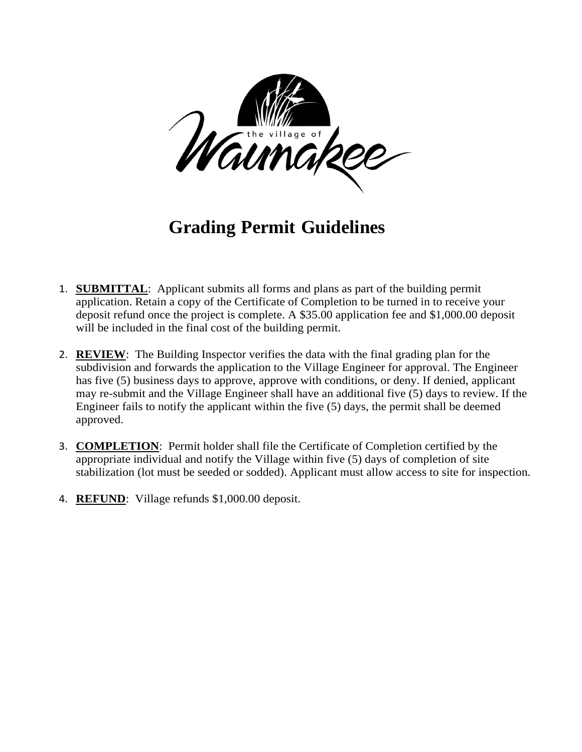

### **Grading Permit Guidelines**

- 1. **SUBMITTAL**: Applicant submits all forms and plans as part of the building permit application. Retain a copy of the Certificate of Completion to be turned in to receive your deposit refund once the project is complete. A \$35.00 application fee and \$1,000.00 deposit will be included in the final cost of the building permit.
- 2. **REVIEW**: The Building Inspector verifies the data with the final grading plan for the subdivision and forwards the application to the Village Engineer for approval. The Engineer has five (5) business days to approve, approve with conditions, or deny. If denied, applicant may re-submit and the Village Engineer shall have an additional five (5) days to review. If the Engineer fails to notify the applicant within the five (5) days, the permit shall be deemed approved.
- 3. **COMPLETION**: Permit holder shall file the Certificate of Completion certified by the appropriate individual and notify the Village within five (5) days of completion of site stabilization (lot must be seeded or sodded). Applicant must allow access to site for inspection.
- 4. **REFUND**: Village refunds \$1,000.00 deposit.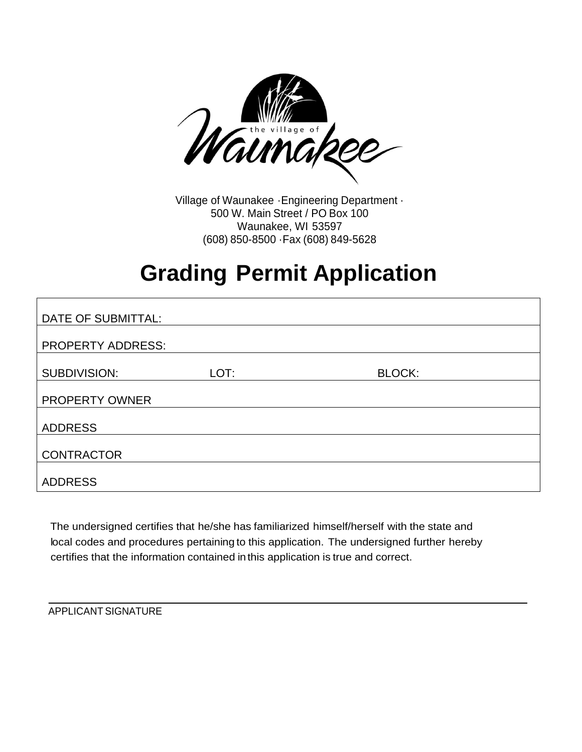

Village of Waunakee ·Engineering Department · 500 W. Main Street / PO Box 100 Waunakee, WI 53597 (608) 850-8500 ·Fax (608) 849-5628

# **Grading Permit Application**

| DATE OF SUBMITTAL:       |      |               |
|--------------------------|------|---------------|
| <b>PROPERTY ADDRESS:</b> |      |               |
|                          |      |               |
| <b>SUBDIVISION:</b>      | LOT: | <b>BLOCK:</b> |
| PROPERTY OWNER           |      |               |
| <b>ADDRESS</b>           |      |               |
| <b>CONTRACTOR</b>        |      |               |
| <b>ADDRESS</b>           |      |               |

The undersigned certifies that he/she has familiarized himself/herself with the state and local codes and procedures pertaining to this application. The undersigned further hereby certifies that the information contained in this application is true and correct.

APPLICANT SIGNATURE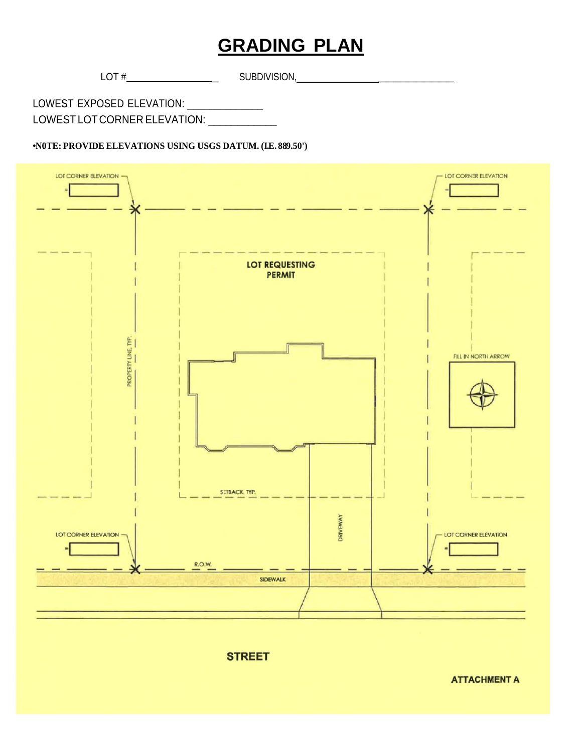### **GRADING PLAN**

 $LOT \#$  SUBDIVISION,

LOWEST EXPOSED ELEVATION: \_\_\_\_\_\_\_\_\_\_\_\_\_\_\_\_ LOWEST LOT CORNER ELEVATION: \_\_\_\_\_\_\_\_\_\_\_\_\_

#### **•N0TE: PROVIDE ELEVATIONS USING USGS DATUM. (I.E. 889.50')**





**ATTACHMENT A**